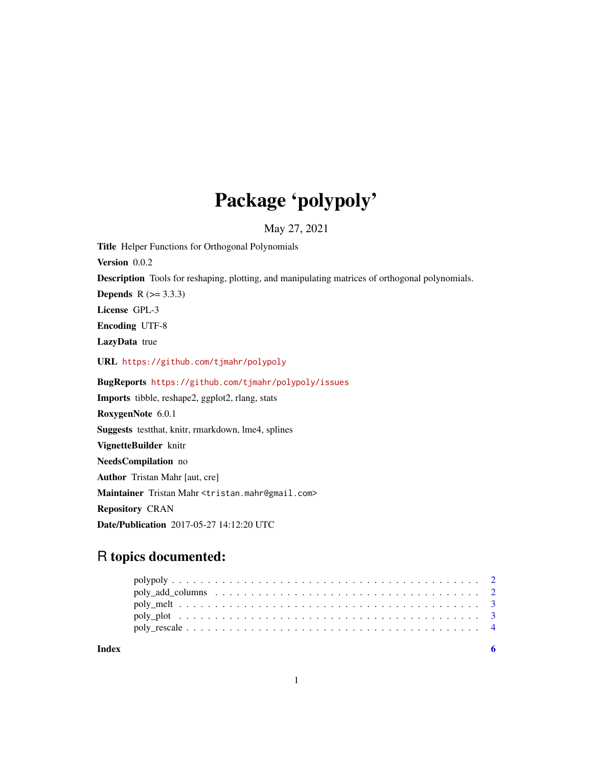## Package 'polypoly'

May 27, 2021

<span id="page-0-0"></span>Title Helper Functions for Orthogonal Polynomials Version 0.0.2 Description Tools for reshaping, plotting, and manipulating matrices of orthogonal polynomials. **Depends**  $R$  ( $>= 3.3.3$ ) License GPL-3 Encoding UTF-8 LazyData true URL <https://github.com/tjmahr/polypoly> BugReports <https://github.com/tjmahr/polypoly/issues> Imports tibble, reshape2, ggplot2, rlang, stats RoxygenNote 6.0.1 Suggests testthat, knitr, rmarkdown, lme4, splines VignetteBuilder knitr NeedsCompilation no Author Tristan Mahr [aut, cre] Maintainer Tristan Mahr <tristan.mahr@gmail.com> Repository CRAN Date/Publication 2017-05-27 14:12:20 UTC

## R topics documented:

| Index |  |  |  |  |
|-------|--|--|--|--|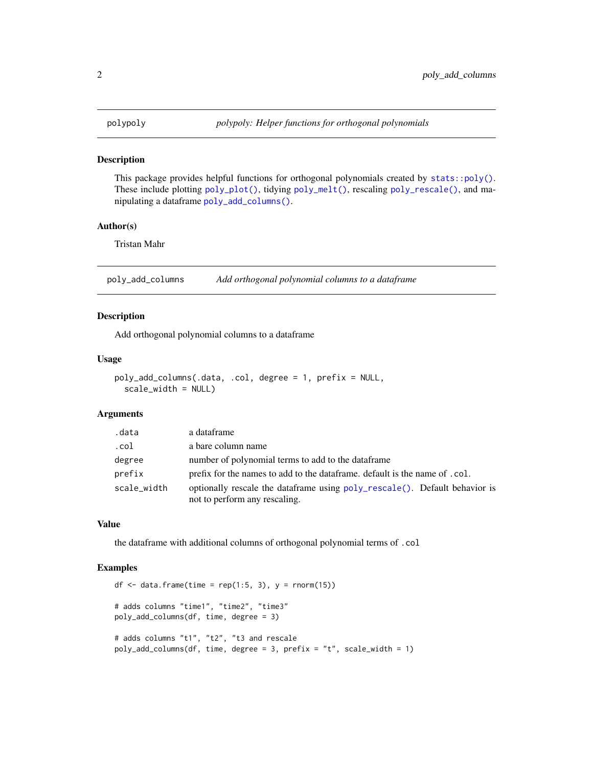<span id="page-1-0"></span>

### Description

This package provides helpful functions for orthogonal polynomials created by [stats::poly\(\)](#page-0-0). These include plotting [poly\\_plot\(\)](#page-2-1), tidying [poly\\_melt\(\)](#page-2-2), rescaling [poly\\_rescale\(\)](#page-3-1), and manipulating a dataframe [poly\\_add\\_columns\(\)](#page-1-1).

### Author(s)

Tristan Mahr

<span id="page-1-1"></span>poly\_add\_columns *Add orthogonal polynomial columns to a dataframe*

### Description

Add orthogonal polynomial columns to a dataframe

### Usage

```
poly_add_columns(.data, .col, degree = 1, prefix = NULL,
 scale_width = NULL)
```
### Arguments

| .data       | a dataframe                                                                                                  |
|-------------|--------------------------------------------------------------------------------------------------------------|
| .col        | a bare column name                                                                                           |
| degree      | number of polynomial terms to add to the dataframe                                                           |
| prefix      | prefix for the names to add to the data frame. default is the name of .col.                                  |
| scale_width | optionally rescale the data frame using poly_rescale(). Default behavior is<br>not to perform any rescaling. |

### Value

the dataframe with additional columns of orthogonal polynomial terms of .col

### Examples

```
df \le data.frame(time = rep(1:5, 3), y = \text{rnorm}(15))
# adds columns "time1", "time2", "time3"
poly_add_columns(df, time, degree = 3)
# adds columns "t1", "t2", "t3 and rescale
poly_add_columns(df, time, degree = 3, prefix = "t", scale_width = 1)
```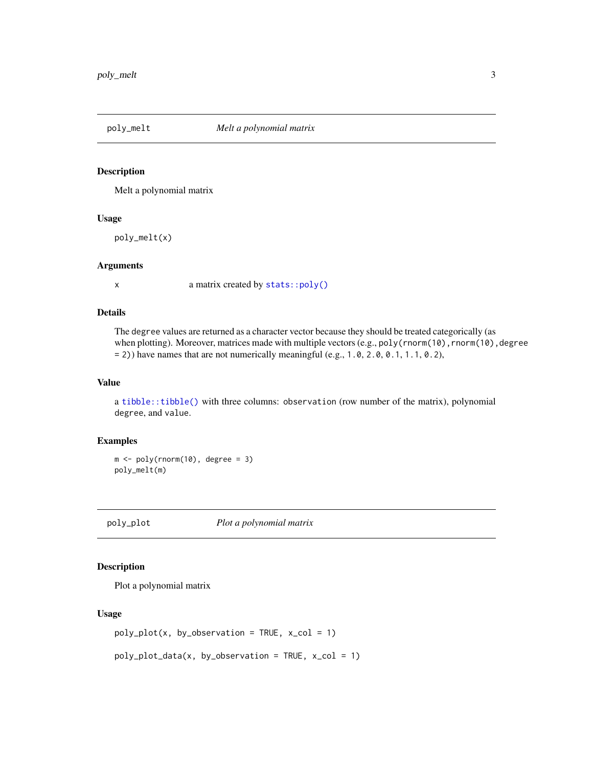<span id="page-2-2"></span><span id="page-2-0"></span>

### Description

Melt a polynomial matrix

### Usage

poly\_melt(x)

### Arguments

x a matrix created by [stats::poly\(\)](#page-0-0)

### Details

The degree values are returned as a character vector because they should be treated categorically (as when plotting). Moreover, matrices made with multiple vectors (e.g., poly(rnorm(10), rnorm(10), degree  $= 2$ )) have names that are not numerically meaningful (e.g., 1.0, 2.0, 0.1, 1.1, 0.2),

### Value

a [tibble::tibble\(\)](#page-0-0) with three columns: observation (row number of the matrix), polynomial degree, and value.

### Examples

 $m \leftarrow poly(rnorm(10), \text{ degree } = 3)$ poly\_melt(m)

<span id="page-2-1"></span>poly\_plot *Plot a polynomial matrix*

### Description

Plot a polynomial matrix

### Usage

```
poly_plot(x, by_observation = TRUE, x_col = 1)
```

```
poly\_plot\_data(x, by\_observation = TRUE, x\_col = 1)
```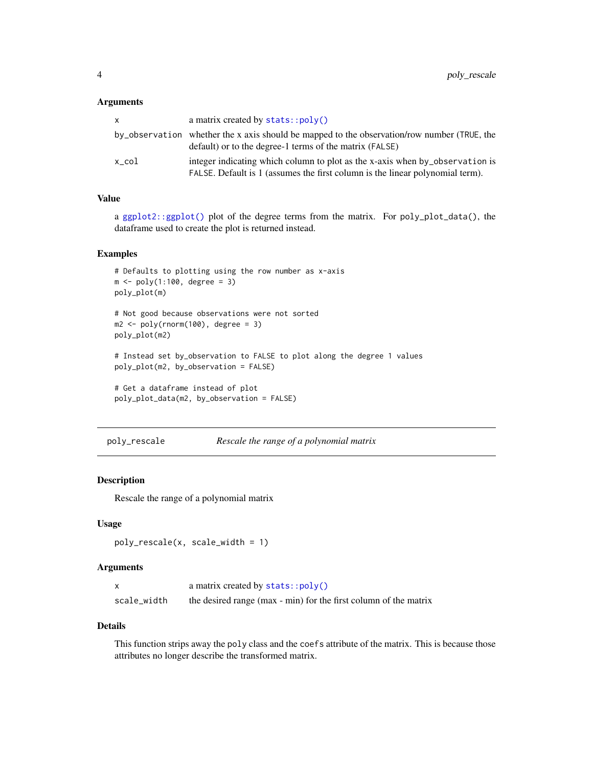### <span id="page-3-0"></span>**Arguments**

| x.    | a matrix created by $stats::poly()$                                                                                                                           |
|-------|---------------------------------------------------------------------------------------------------------------------------------------------------------------|
|       | by_observation whether the x axis should be mapped to the observation/row number (TRUE, the<br>default) or to the degree-1 terms of the matrix (FALSE)        |
| x col | integer indicating which column to plot as the x-axis when by observation is<br>FALSE. Default is 1 (assumes the first column is the linear polynomial term). |

### Value

a [ggplot2::ggplot\(\)](#page-0-0) plot of the degree terms from the matrix. For poly\_plot\_data(), the dataframe used to create the plot is returned instead.

### Examples

```
# Defaults to plotting using the row number as x-axis
m <- poly(1:100, degree = 3)
poly_plot(m)
# Not good because observations were not sorted
m2 \leq -\text{poly}(rnorm(100), \text{ degree } = 3)poly_plot(m2)
# Instead set by_observation to FALSE to plot along the degree 1 values
poly_plot(m2, by_observation = FALSE)
# Get a dataframe instead of plot
poly_plot_data(m2, by_observation = FALSE)
```
<span id="page-3-1"></span>poly\_rescale *Rescale the range of a polynomial matrix*

### Description

Rescale the range of a polynomial matrix

### Usage

```
poly_rescale(x, scale_width = 1)
```
### Arguments

|             | a matrix created by $stats::poly()$                              |
|-------------|------------------------------------------------------------------|
| scale_width | the desired range (max - min) for the first column of the matrix |

### Details

This function strips away the poly class and the coefs attribute of the matrix. This is because those attributes no longer describe the transformed matrix.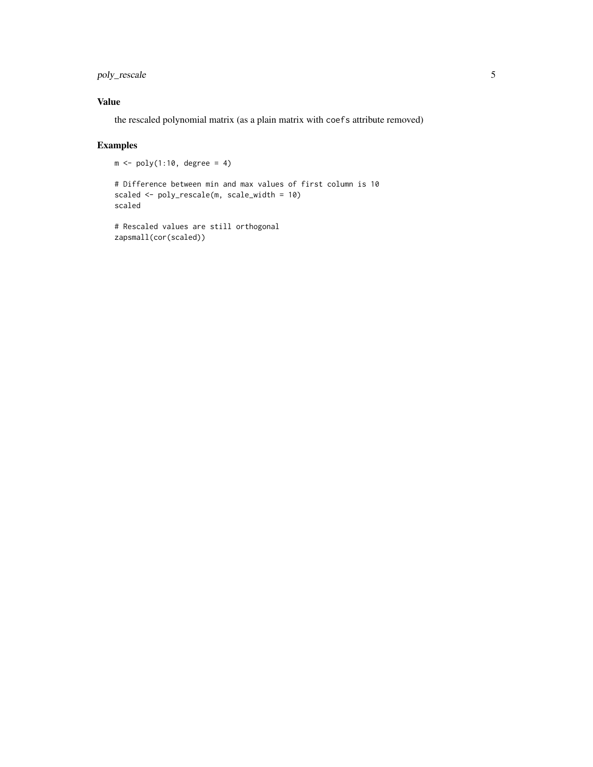poly\_rescale 5

### Value

the rescaled polynomial matrix (as a plain matrix with coefs attribute removed)

### Examples

```
m \leftarrow poly(1:10, \text{ degree} = 4)
```

```
# Difference between min and max values of first column is 10
scaled <- poly_rescale(m, scale_width = 10)
scaled
```

```
# Rescaled values are still orthogonal
zapsmall(cor(scaled))
```